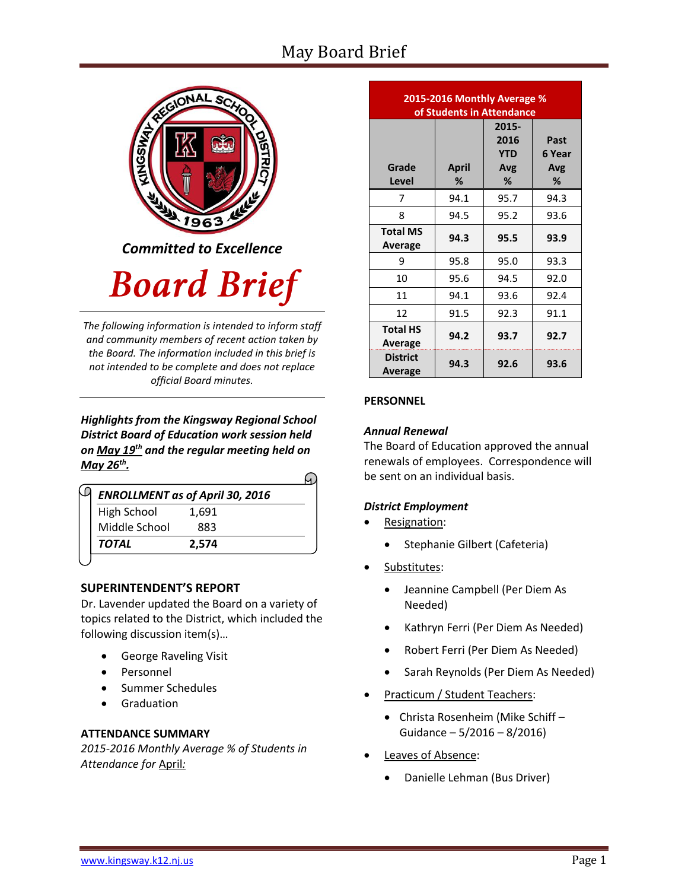# May Board Brief



**Board Brief** 

*The following information is intended to inform staff and community members of recent action taken by the Board. The information included in this brief is not intended to be complete and does not replace official Board minutes.*

*Highlights from the Kingsway Regional School District Board of Education work session held on May 19th and the regular meeting held on May 26th .* 

| <b>ENROLLMENT as of April 30, 2016</b> |       |  |
|----------------------------------------|-------|--|
| <b>High School</b>                     | 1,691 |  |
| Middle School                          | 883   |  |
| <b>TOTAL</b>                           | 2.574 |  |

# **SUPERINTENDENT'S REPORT**

Dr. Lavender updated the Board on a variety of topics related to the District, which included the following discussion item(s)…

- [George](http://www.krsd.org/domain/51) Raveling Visit
- Personnel
- Summer Schedules
- Graduation

# **ATTENDANCE SUMMARY**

*2015-2016 Monthly Average % of Students in Attendance for* April*:*

| 2015-2016 Monthly Average %<br>of Students in Attendance |            |                                         |                            |
|----------------------------------------------------------|------------|-----------------------------------------|----------------------------|
| Grade<br>Level                                           | April<br>℅ | 2015-<br>2016<br><b>YTD</b><br>Avg<br>% | Past<br>6 Year<br>Avg<br>% |
| 7                                                        | 94.1       | 95.7                                    | 94.3                       |
| 8                                                        | 94.5       | 95.2                                    | 93.6                       |
| <b>Total MS</b><br><b>Average</b>                        | 94.3       | 95.5                                    | 93.9                       |
| 9                                                        | 95.8       | 95.0                                    | 93.3                       |
| 10                                                       | 95.6       | 94.5                                    | 92.0                       |
| 11                                                       | 94.1       | 93.6                                    | 92.4                       |
| 12                                                       | 91.5       | 92.3                                    | 91.1                       |
| <b>Total HS</b><br>Average                               | 94.2       | 93.7                                    | 92.7                       |
| <b>District</b><br>Average                               | 94.3       | 92.6                                    | 93.6                       |

# **PERSONNEL**

### *Annual Renewal*

The Board of Education approved the annual renewals of employees. Correspondence will be sent on an individual basis.

# *District Employment*

- Resignation:
	- Stephanie Gilbert (Cafeteria)
- Substitutes:
	- Jeannine Campbell (Per Diem As Needed)
	- Kathryn Ferri (Per Diem As Needed)
	- Robert Ferri (Per Diem As Needed)
	- Sarah Reynolds (Per Diem As Needed)
- Practicum / Student Teachers:
	- Christa Rosenheim (Mike Schiff Guidance – 5/2016 – 8/2016)
- Leaves of Absence:
	- Danielle Lehman (Bus Driver)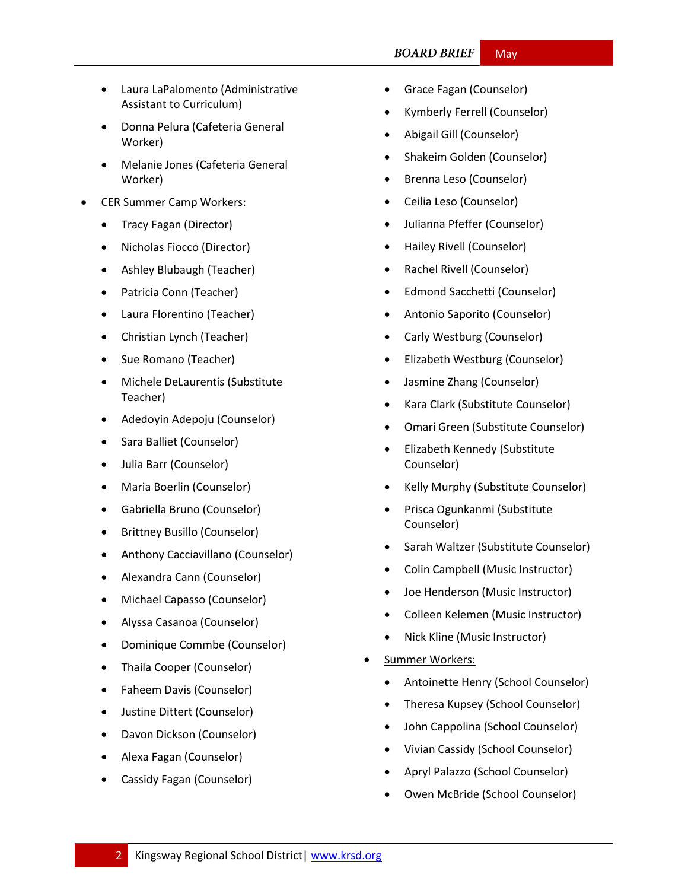#### **BOARD BRIEF** May

- Laura LaPalomento (Administrative Assistant to Curriculum)
- Donna Pelura (Cafeteria General Worker)
- Melanie Jones (Cafeteria General Worker)
- CER Summer Camp Workers:
	- Tracy Fagan (Director)
	- Nicholas Fiocco (Director)
	- Ashley Blubaugh (Teacher)
	- Patricia Conn (Teacher)
	- Laura Florentino (Teacher)
	- Christian Lynch (Teacher)
	- Sue Romano (Teacher)
	- Michele DeLaurentis (Substitute Teacher)
	- Adedoyin Adepoju (Counselor)
	- Sara Balliet (Counselor)
	- Julia Barr (Counselor)
	- Maria Boerlin (Counselor)
	- Gabriella Bruno (Counselor)
	- Brittney Busillo (Counselor)
	- Anthony Cacciavillano (Counselor)
	- Alexandra Cann (Counselor)
	- Michael Capasso (Counselor)
	- Alyssa Casanoa (Counselor)
	- Dominique Commbe (Counselor)
	- Thaila Cooper (Counselor)
	- Faheem Davis (Counselor)
	- Justine Dittert (Counselor)
	- Davon Dickson (Counselor)
	- Alexa Fagan (Counselor)
	- Cassidy Fagan (Counselor)
- Grace Fagan (Counselor)
- Kymberly Ferrell (Counselor)
- Abigail Gill (Counselor)
- Shakeim Golden (Counselor)
- Brenna Leso (Counselor)
- Ceilia Leso (Counselor)
- Julianna Pfeffer (Counselor)
- Hailey Rivell (Counselor)
- Rachel Rivell (Counselor)
- Edmond Sacchetti (Counselor)
- Antonio Saporito (Counselor)
- Carly Westburg (Counselor)
- Elizabeth Westburg (Counselor)
- Jasmine Zhang (Counselor)
- Kara Clark (Substitute Counselor)
- Omari Green (Substitute Counselor)
- Elizabeth Kennedy (Substitute Counselor)
- Kelly Murphy (Substitute Counselor)
- Prisca Ogunkanmi (Substitute Counselor)
- Sarah Waltzer (Substitute Counselor)
- Colin Campbell (Music Instructor)
- Joe Henderson (Music Instructor)
- Colleen Kelemen (Music Instructor)
- Nick Kline (Music Instructor)
- Summer Workers:
	- Antoinette Henry (School Counselor)
	- Theresa Kupsey (School Counselor)
	- John Cappolina (School Counselor)
	- Vivian Cassidy (School Counselor)
	- Apryl Palazzo (School Counselor)
	- Owen McBride (School Counselor)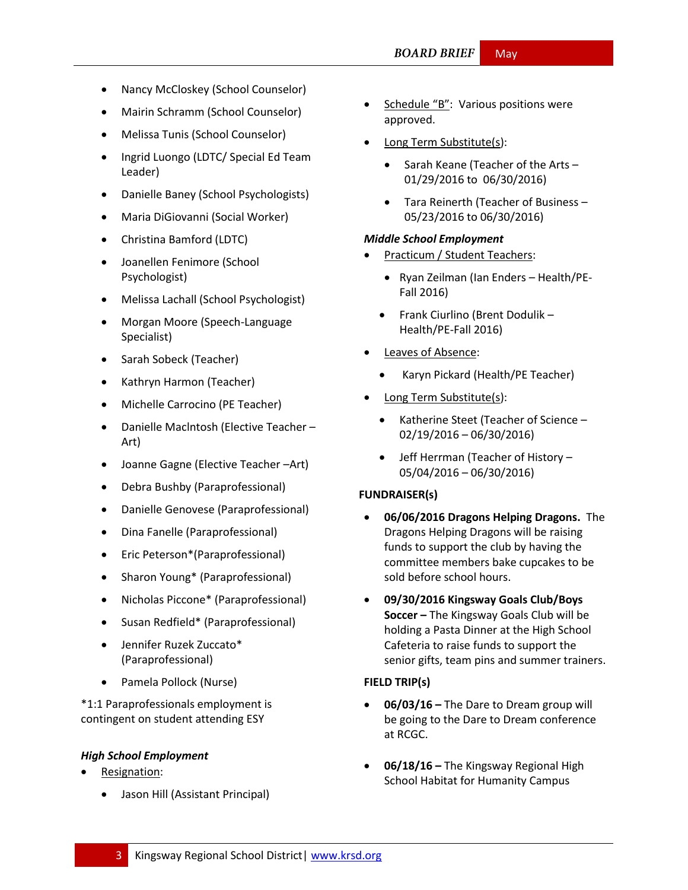- Nancy McCloskey (School Counselor)
- Mairin Schramm (School Counselor)
- Melissa Tunis (School Counselor)
- Ingrid Luongo (LDTC/ Special Ed Team Leader)
- Danielle Baney (School Psychologists)
- Maria DiGiovanni (Social Worker)
- Christina Bamford (LDTC)
- Joanellen Fenimore (School Psychologist)
- Melissa Lachall (School Psychologist)
- Morgan Moore (Speech-Language Specialist)
- Sarah Sobeck (Teacher)
- Kathryn Harmon (Teacher)
- Michelle Carrocino (PE Teacher)
- Danielle Maclntosh (Elective Teacher Art)
- Joanne Gagne (Elective Teacher –Art)
- Debra Bushby (Paraprofessional)
- Danielle Genovese (Paraprofessional)
- Dina Fanelle (Paraprofessional)
- Eric Peterson\*(Paraprofessional)
- Sharon Young\* (Paraprofessional)
- Nicholas Piccone\* (Paraprofessional)
- Susan Redfield\* (Paraprofessional)
- Jennifer Ruzek Zuccato\* (Paraprofessional)
- Pamela Pollock (Nurse)

\*1:1 Paraprofessionals employment is contingent on student attending ESY

#### *High School Employment*

- Resignation:
	- Jason Hill (Assistant Principal)
- Schedule "B": Various positions were approved.
- Long Term Substitute(s):
	- $\bullet$  Sarah Keane (Teacher of the Arts 01/29/2016 to 06/30/2016)
	- Tara Reinerth (Teacher of Business 05/23/2016 to 06/30/2016)

#### *Middle School Employment*

- Practicum / Student Teachers:
	- Ryan Zeilman (Ian Enders Health/PE-Fall 2016)
	- Frank Ciurlino (Brent Dodulik Health/PE-Fall 2016)
- Leaves of Absence:
	- Karyn Pickard (Health/PE Teacher)
- Long Term Substitute(s):
	- Katherine Steet (Teacher of Science 02/19/2016 – 06/30/2016)
	- Jeff Herrman (Teacher of History 05/04/2016 – 06/30/2016)

#### **FUNDRAISER(s)**

- **06/06/2016 Dragons Helping Dragons.** The Dragons Helping Dragons will be raising funds to support the club by having the committee members bake cupcakes to be sold before school hours.
- **09/30/2016 Kingsway Goals Club/Boys Soccer –** The Kingsway Goals Club will be holding a Pasta Dinner at the High School Cafeteria to raise funds to support the senior gifts, team pins and summer trainers.

#### **FIELD TRIP(s)**

- **06/03/16 –** The Dare to Dream group will be going to the Dare to Dream conference at RCGC.
- **06/18/16 –** The Kingsway Regional High School Habitat for Humanity Campus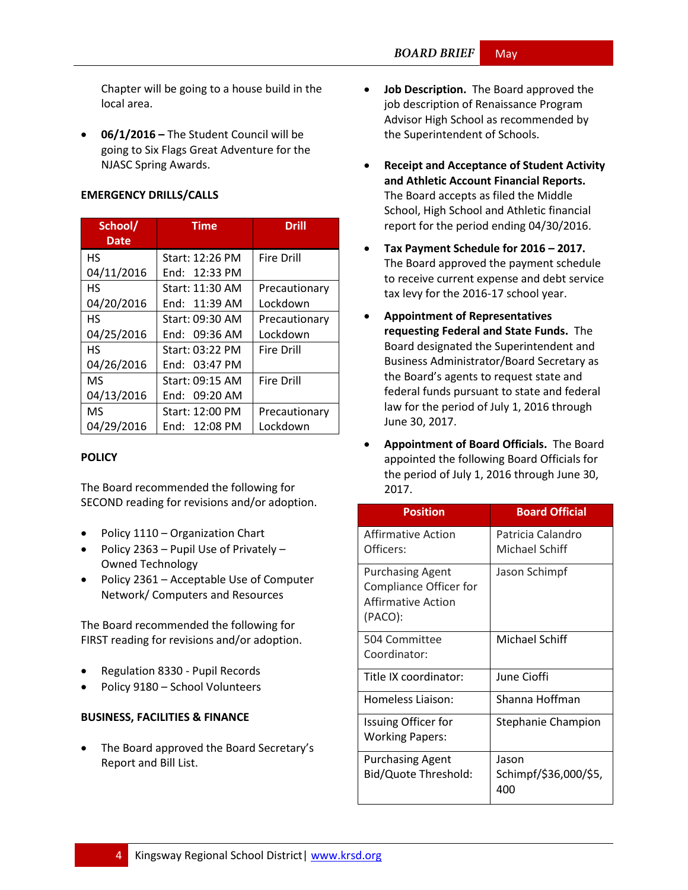Chapter will be going to a house build in the local area.

 **06/1/2016 –** The Student Council will be going to Six Flags Great Adventure for the NJASC Spring Awards.

#### **EMERGENCY DRILLS/CALLS**

| School/<br><b>Date</b> | Time             | <b>Drill</b>      |
|------------------------|------------------|-------------------|
| <b>HS</b>              | Start: 12:26 PM  | <b>Fire Drill</b> |
| 04/11/2016             | End: 12:33 PM    |                   |
| <b>HS</b>              | Start: 11:30 AM  | Precautionary     |
| 04/20/2016             | End: 11:39 AM    | Lockdown          |
| <b>HS</b>              | Start: 09:30 AM  | Precautionary     |
| 04/25/2016             | End: 09:36 AM    | Lockdown          |
| <b>HS</b>              | Start: 03:22 PM  | <b>Fire Drill</b> |
| 04/26/2016             | End: 03:47 PM    |                   |
| <b>MS</b>              | Start: 09:15 AM  | <b>Fire Drill</b> |
| 04/13/2016             | 09:20 AM<br>Fnd: |                   |
| MS                     | Start: 12:00 PM  | Precautionary     |
| 04/29/2016             | End: 12:08 PM    | Lockdown          |

#### **[POLICY](http://www.straussesmay.com/seportal/Public/DistrictPolicyTOC.aspx?id=f0cc945ef3894b8d9ad5f87d948ca425&PolicyID=)**

The Board recommended the following for SECOND reading for revisions and/or adoption.

- Policy 1110 Organization Chart
- Policy 2363 Pupil Use of Privately Owned Technology
- Policy 2361 Acceptable Use of Computer Network/ Computers and Resources

The Board recommended the following for FIRST reading for revisions and/or adoption.

- Regulation 8330 Pupil Records
- Policy 9180 School Volunteers

#### **BUSINESS, FACILITIES & FINANCE**

 The Board approved the Board Secretary's Report and Bill List.

- **Job Description.** The Board approved the job description of Renaissance Program Advisor High School as recommended by the Superintendent of Schools.
- **Receipt and Acceptance of Student Activity and Athletic Account Financial Reports.** The Board accepts as filed the Middle School, High School and Athletic financial report for the period ending 04/30/2016.
- **Tax Payment Schedule for 2016 – 2017.** The Board approved the payment schedule to receive current expense and debt service tax levy for the 2016-17 school year.
- **Appointment of Representatives requesting Federal and State Funds.** The Board designated the Superintendent and Business Administrator/Board Secretary as the Board's agents to request state and federal funds pursuant to state and federal law for the period of July 1, 2016 through June 30, 2017.
- **Appointment of Board Officials.** The Board appointed the following Board Officials for the period of July 1, 2016 through June 30, 2017.

| <b>Position</b>                                                                           | <b>Board Official</b>                 |
|-------------------------------------------------------------------------------------------|---------------------------------------|
| Affirmative Action<br>Officers:                                                           | Patricia Calandro<br>Michael Schiff   |
| <b>Purchasing Agent</b><br>Compliance Officer for<br><b>Affirmative Action</b><br>(PACO): | Jason Schimpf                         |
| 504 Committee<br>Coordinator:                                                             | Michael Schiff                        |
| Title IX coordinator:                                                                     | June Cioffi                           |
| Homeless Liaison:                                                                         | Shanna Hoffman                        |
| <b>Issuing Officer for</b><br><b>Working Papers:</b>                                      | Stephanie Champion                    |
| <b>Purchasing Agent</b><br>Bid/Quote Threshold:                                           | Jason<br>Schimpf/\$36,000/\$5,<br>400 |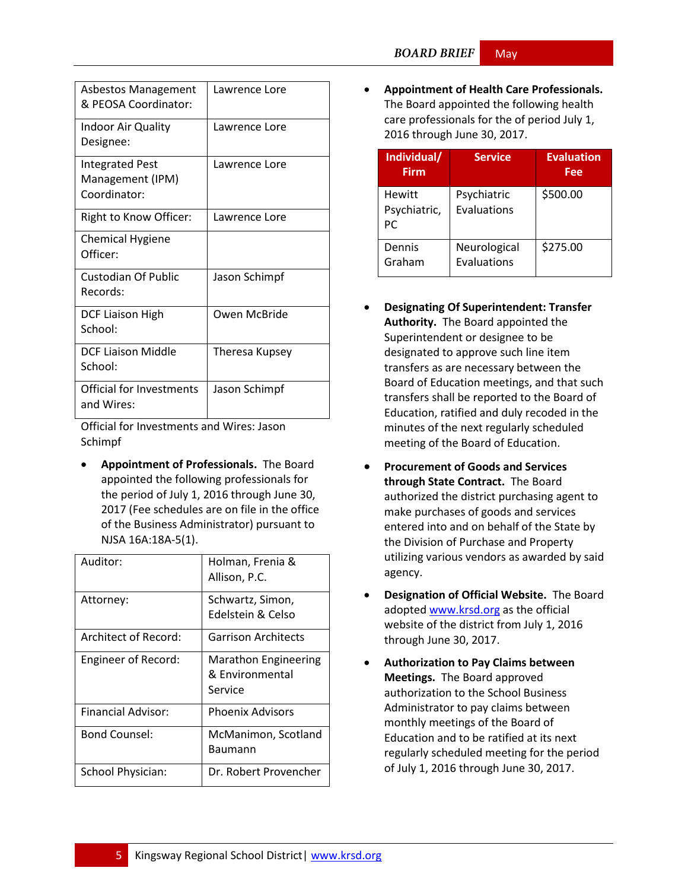| <b>Asbestos Management</b><br>& PFOSA Coordinator:         | Lawrence Lore  |
|------------------------------------------------------------|----------------|
| Indoor Air Quality<br>Designee:                            | Lawrence Lore  |
| <b>Integrated Pest</b><br>Management (IPM)<br>Coordinator: | Lawrence Lore  |
| Right to Know Officer:                                     | Lawrence Lore  |
| <b>Chemical Hygiene</b><br>Officer:                        |                |
| <b>Custodian Of Public</b><br>Records:                     | Jason Schimpf  |
| <b>DCF Liaison High</b><br>School:                         | Owen McBride   |
| DCF Liaison Middle<br>School:                              | Theresa Kupsey |
| <b>Official for Investments</b><br>and Wires:              | Jason Schimpf  |

Official for Investments and Wires: Jason Schimpf

 **Appointment of Professionals.** The Board appointed the following professionals for the period of July 1, 2016 through June 30, 2017 (Fee schedules are on file in the office of the Business Administrator) pursuant to NJSA 16A:18A-5(1).

| Auditor:                  | Holman, Frenia &<br>Allison, P.C.                         |
|---------------------------|-----------------------------------------------------------|
| Attorney:                 | Schwartz, Simon,<br>Edelstein & Celso                     |
| Architect of Record:      | Garrison Architects                                       |
| Engineer of Record:       | <b>Marathon Engineering</b><br>& Environmental<br>Service |
| <b>Financial Advisor:</b> | <b>Phoenix Advisors</b>                                   |
| <b>Bond Counsel:</b>      | McManimon, Scotland<br>Baumann                            |
| School Physician:         | Dr. Robert Provencher                                     |

 **Appointment of Health Care Professionals.** The Board appointed the following health care professionals for the of period July 1, 2016 through June 30, 2017.

| Individual/<br>Firm                  | Service                     | <b>Evaluation</b><br>Fee |
|--------------------------------------|-----------------------------|--------------------------|
| <b>Hewitt</b><br>Psychiatric,<br>PC. | Psychiatric<br>Evaluations  | \$500.00                 |
| Dennis<br>Graham                     | Neurological<br>Evaluations | \$275.00                 |

- **Designating Of Superintendent: Transfer Authority.** The Board appointed the Superintendent or designee to be designated to approve such line item transfers as are necessary between the Board of Education meetings, and that such transfers shall be reported to the Board of Education, ratified and duly recoded in the minutes of the next regularly scheduled meeting of the Board of Education.
- **Procurement of Goods and Services through State Contract.** The Board authorized the district purchasing agent to make purchases of goods and services entered into and on behalf of the State by the Division of Purchase and Property utilizing various vendors as awarded by said agency.
- **Designation of Official Website.** The Board adopted [www.krsd.org](http://www.krsd.org/) as the official website of the district from July 1, 2016 through June 30, 2017.
- **Authorization to Pay Claims between Meetings.** The Board approved authorization to the School Business Administrator to pay claims between monthly meetings of the Board of Education and to be ratified at its next regularly scheduled meeting for the period of July 1, 2016 through June 30, 2017.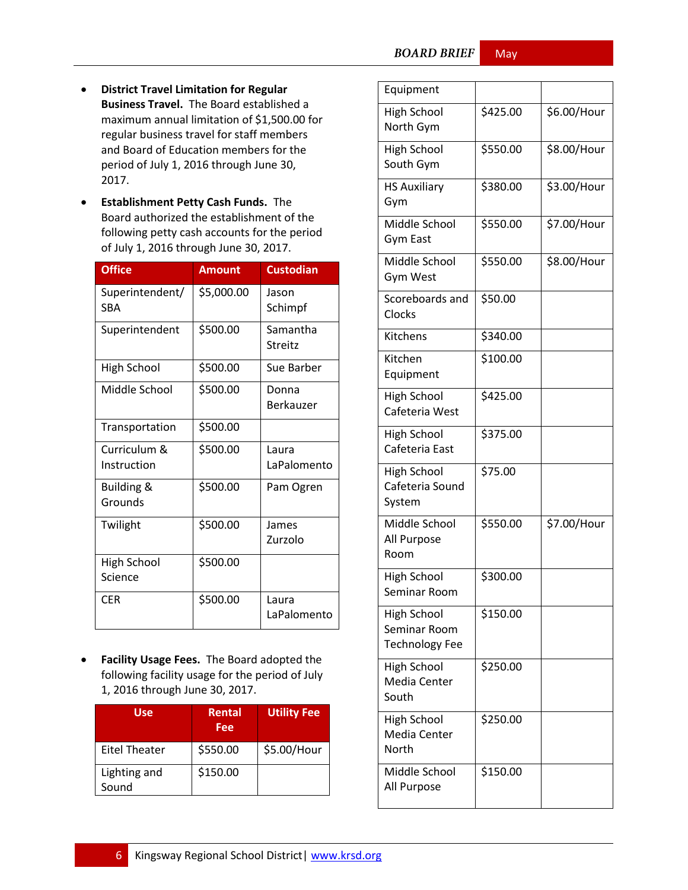May

- **District Travel Limitation for Regular Business Travel.** The Board established a maximum annual limitation of \$1,500.00 for regular business travel for staff members and Board of Education members for the period of July 1, 2016 through June 30, 2017.
- **Establishment Petty Cash Funds.** The Board authorized the establishment of the following petty cash accounts for the period of July 1, 2016 through June 30, 2017.

| <b>Office</b>                    | <b>Amount</b> | <b>Custodian</b>     |
|----------------------------------|---------------|----------------------|
| Superintendent/<br>SBA           | \$5,000.00    | Jason<br>Schimpf     |
| Superintendent                   | \$500.00      | Samantha<br>Streitz  |
| <b>High School</b>               | \$500.00      | Sue Barber           |
| Middle School                    | \$500.00      | Donna<br>Berkauzer   |
| Transportation                   | \$500.00      |                      |
| Curriculum &<br>Instruction      | \$500.00      | Laura<br>LaPalomento |
| <b>Building &amp;</b><br>Grounds | \$500.00      | Pam Ogren            |
| Twilight                         | \$500.00      | James<br>Zurzolo     |
| High School<br>Science           | \$500.00      |                      |
| CER                              | \$500.00      | Laura<br>LaPalomento |

 **Facility Usage Fees.** The Board adopted the following facility usage for the period of July 1, 2016 through June 30, 2017.

| Use                   | Rental<br>Fee | <b>Utility Fee</b> |
|-----------------------|---------------|--------------------|
| <b>Eitel Theater</b>  | \$550.00      | \$5.00/Hour        |
| Lighting and<br>Sound | \$150.00      |                    |

| Equipment                                                   |          |             |
|-------------------------------------------------------------|----------|-------------|
| High School<br>North Gym                                    | \$425.00 | \$6.00/Hour |
| <b>High School</b><br>South Gym                             | \$550.00 | \$8.00/Hour |
| <b>HS Auxiliary</b><br>Gym                                  | \$380.00 | \$3.00/Hour |
| Middle School<br>Gym East                                   | \$550.00 | \$7.00/Hour |
| Middle School<br>Gym West                                   | \$550.00 | \$8.00/Hour |
| Scoreboards and<br>Clocks                                   | \$50.00  |             |
| Kitchens                                                    | \$340.00 |             |
| Kitchen<br>Equipment                                        | \$100.00 |             |
| <b>High School</b><br>Cafeteria West                        | \$425.00 |             |
| <b>High School</b><br>Cafeteria East                        | \$375.00 |             |
| <b>High School</b><br>Cafeteria Sound<br>System             | \$75.00  |             |
| Middle School<br>All Purpose<br>Room                        | \$550.00 | \$7.00/Hour |
| <b>High School</b><br>Seminar Room                          | \$300.00 |             |
| <b>High School</b><br>Seminar Room<br><b>Technology Fee</b> | \$150.00 |             |
| <b>High School</b><br>Media Center<br>South                 | \$250.00 |             |
| <b>High School</b><br>Media Center<br>North                 | \$250.00 |             |
| Middle School<br>All Purpose                                | \$150.00 |             |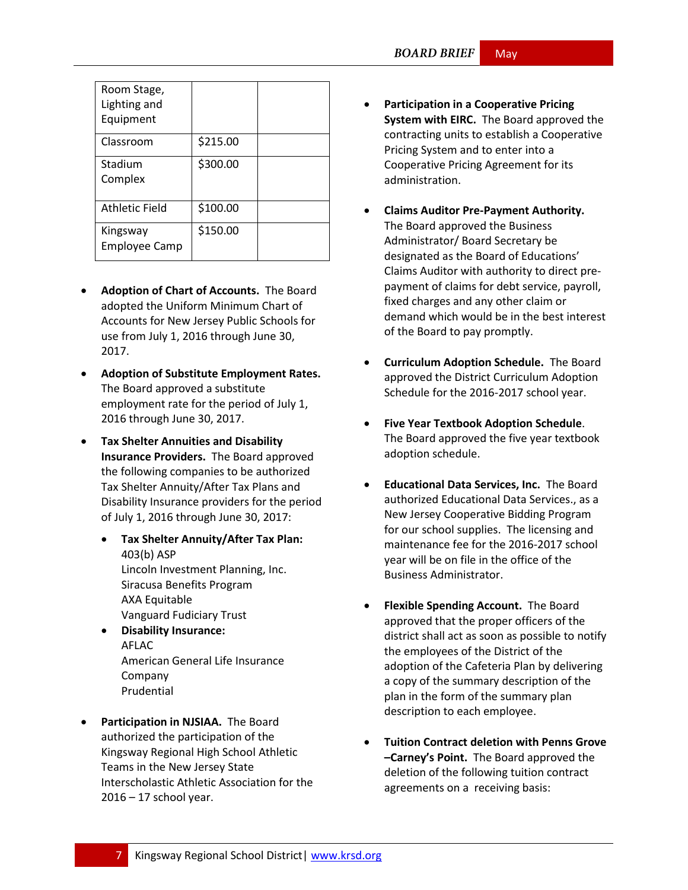| Room Stage,<br>Lighting and<br>Equipment |          |  |
|------------------------------------------|----------|--|
| Classroom                                | \$215.00 |  |
| Stadium<br>Complex                       | \$300.00 |  |
| Athletic Field                           | \$100.00 |  |
| Kingsway<br><b>Employee Camp</b>         | \$150.00 |  |

- **Adoption of Chart of Accounts.** The Board adopted the Uniform Minimum Chart of Accounts for New Jersey Public Schools for use from July 1, 2016 through June 30, 2017.
- **Adoption of Substitute Employment Rates.**  The Board approved a substitute employment rate for the period of July 1, 2016 through June 30, 2017.
- **Tax Shelter Annuities and Disability Insurance Providers.** The Board approved the following companies to be authorized Tax Shelter Annuity/After Tax Plans and Disability Insurance providers for the period of July 1, 2016 through June 30, 2017:
	- **Tax Shelter Annuity/After Tax Plan:** 403(b) ASP Lincoln Investment Planning, Inc. Siracusa Benefits Program AXA Equitable Vanguard Fudiciary Trust
	- **Disability Insurance:** AFLAC American General Life Insurance Company Prudential
- **Participation in NJSIAA.** The Board authorized the participation of the Kingsway Regional High School Athletic Teams in the New Jersey State Interscholastic Athletic Association for the 2016 – 17 school year.
- **Participation in a Cooperative Pricing System with EIRC.** The Board approved the contracting units to establish a Cooperative Pricing System and to enter into a Cooperative Pricing Agreement for its administration.
- **Claims Auditor Pre-Payment Authority.** The Board approved the Business Administrator/ Board Secretary be designated as the Board of Educations' Claims Auditor with authority to direct prepayment of claims for debt service, payroll, fixed charges and any other claim or demand which would be in the best interest of the Board to pay promptly.
- **Curriculum Adoption Schedule.** The Board approved the District Curriculum Adoption Schedule for the 2016-2017 school year.
- **Five Year Textbook Adoption Schedule**. The Board approved the five year textbook adoption schedule.
- **Educational Data Services, Inc.** The Board authorized Educational Data Services., as a New Jersey Cooperative Bidding Program for our school supplies. The licensing and maintenance fee for the 2016-2017 school year will be on file in the office of the Business Administrator.
- **Flexible Spending Account.** The Board approved that the proper officers of the district shall act as soon as possible to notify the employees of the District of the adoption of the Cafeteria Plan by delivering a copy of the summary description of the plan in the form of the summary plan description to each employee.
- **Tuition Contract deletion with Penns Grove –Carney's Point.** The Board approved the deletion of the following tuition contract agreements on a receiving basis: